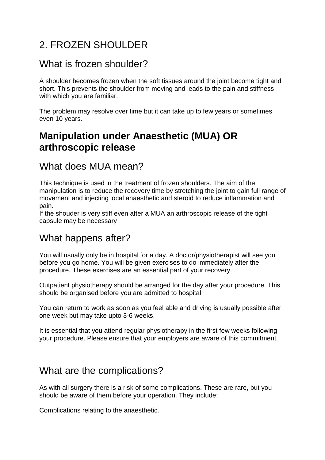# 2. FROZEN SHOULDER

### What is frozen shoulder?

A shoulder becomes frozen when the soft tissues around the joint become tight and short. This prevents the shoulder from moving and leads to the pain and stiffness with which you are familiar.

The problem may resolve over time but it can take up to few years or sometimes even 10 years.

# **Manipulation under Anaesthetic (MUA) OR arthroscopic release**

#### What does MUA mean?

This technique is used in the treatment of frozen shoulders. The aim of the manipulation is to reduce the recovery time by stretching the joint to gain full range of movement and injecting local anaesthetic and steroid to reduce inflammation and pain.

If the shouder is very stiff even after a MUA an arthroscopic release of the tight capsule may be necessary

### What happens after?

You will usually only be in hospital for a day. A doctor/physiotherapist will see you before you go home. You will be given exercises to do immediately after the procedure. These exercises are an essential part of your recovery.

Outpatient physiotherapy should be arranged for the day after your procedure. This should be organised before you are admitted to hospital.

You can return to work as soon as you feel able and driving is usually possible after one week but may take upto 3-6 weeks.

It is essential that you attend regular physiotherapy in the first few weeks following your procedure. Please ensure that your employers are aware of this commitment.

### What are the complications?

As with all surgery there is a risk of some complications. These are rare, but you should be aware of them before your operation. They include:

Complications relating to the anaesthetic.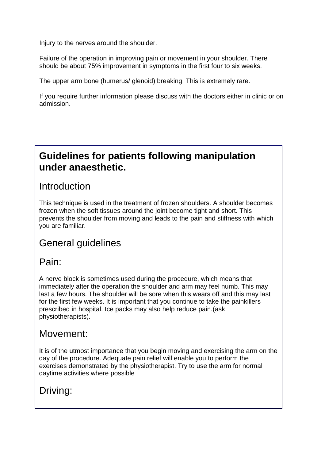Injury to the nerves around the shoulder.

Failure of the operation in improving pain or movement in your shoulder. There should be about 75% improvement in symptoms in the first four to six weeks.

The upper arm bone (humerus/ glenoid) breaking. This is extremely rare.

If you require further information please discuss with the doctors either in clinic or on admission.

### **Guidelines for patients following manipulation under anaesthetic.**

#### **Introduction**

This technique is used in the treatment of frozen shoulders. A shoulder becomes frozen when the soft tissues around the joint become tight and short. This prevents the shoulder from moving and leads to the pain and stiffness with which you are familiar.

# General guidelines

### Pain:

A nerve block is sometimes used during the procedure, which means that immediately after the operation the shoulder and arm may feel numb. This may last a few hours. The shoulder will be sore when this wears off and this may last for the first few weeks. It is important that you continue to take the painkillers prescribed in hospital. Ice packs may also help reduce pain.(ask physiotherapists).

### Movement:

It is of the utmost importance that you begin moving and exercising the arm on the day of the procedure. Adequate pain relief will enable you to perform the exercises demonstrated by the physiotherapist. Try to use the arm for normal daytime activities where possible

# Driving: